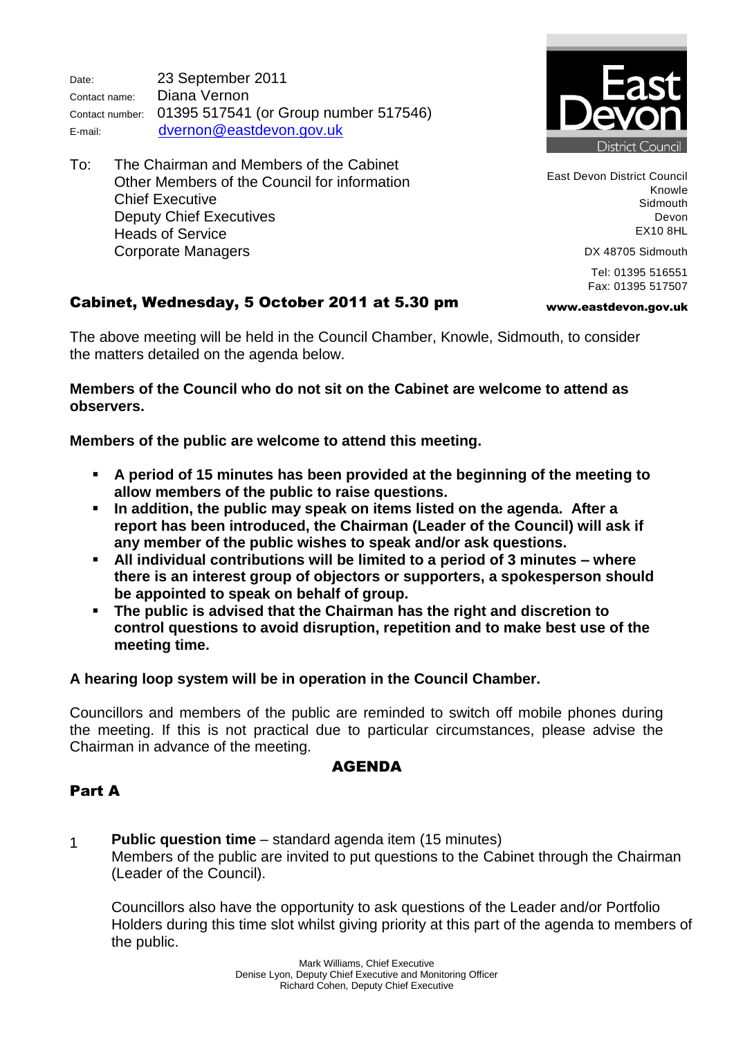Date: 23 September 2011 Contact name: Diana Vernon Contact number: 01395 517541 (or Group number 517546) E-mail: [dvernon@eastdevon.gov.uk](mailto:dvernon@eastdevon.gov.uk)

To: The Chairman and Members of the Cabinet Other Members of the Council for information Chief Executive Deputy Chief Executives Heads of Service Corporate Managers



East Devon District Council Knowle Sidmouth Devon EX10 8HL

www.eastdevon.gov.uk

DX 48705 Sidmouth

Tel: 01395 516551 Fax: 01395 517507

# Cabinet, Wednesday, 5 October 2011 at 5.30 pm

The above meeting will be held in the Council Chamber, Knowle, Sidmouth, to consider the matters detailed on the agenda below.

**Members of the Council who do not sit on the Cabinet are welcome to attend as observers.**

**Members of the public are welcome to attend this meeting.**

- **A period of 15 minutes has been provided at the beginning of the meeting to allow members of the public to raise questions.**
- **In addition, the public may speak on items listed on the agenda. After a report has been introduced, the Chairman (Leader of the Council) will ask if any member of the public wishes to speak and/or ask questions.**
- **All individual contributions will be limited to a period of 3 minutes – where there is an interest group of objectors or supporters, a spokesperson should be appointed to speak on behalf of group.**
- **The public is advised that the Chairman has the right and discretion to control questions to avoid disruption, repetition and to make best use of the meeting time.**

**A hearing loop system will be in operation in the Council Chamber.**

Councillors and members of the public are reminded to switch off mobile phones during the meeting. If this is not practical due to particular circumstances, please advise the Chairman in advance of the meeting.

### AGENDA

# Part A

1 **Public question time** – standard agenda item (15 minutes) Members of the public are invited to put questions to the Cabinet through the Chairman (Leader of the Council).

Councillors also have the opportunity to ask questions of the Leader and/or Portfolio Holders during this time slot whilst giving priority at this part of the agenda to members of the public.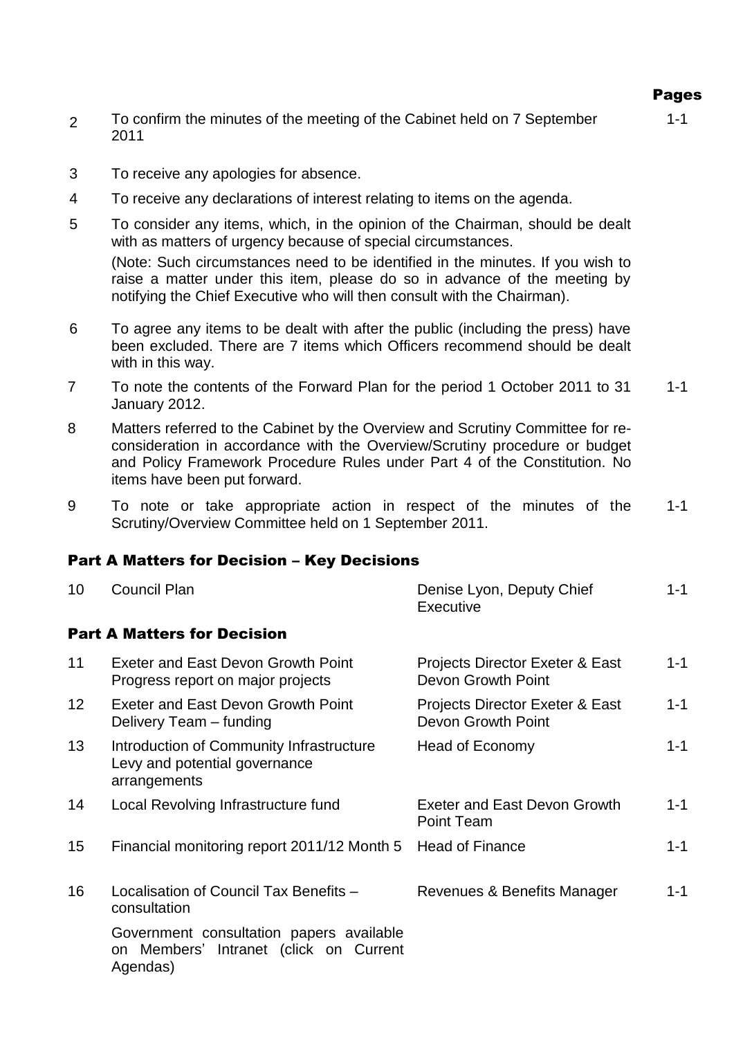- 2 To confirm the minutes of the meeting of the Cabinet held on 7 September 2011
- 3 To receive any apologies for absence.
- 4 To receive any declarations of interest relating to items on the agenda.
- 5 To consider any items, which, in the opinion of the Chairman, should be dealt with as matters of urgency because of special circumstances. (Note: Such circumstances need to be identified in the minutes. If you wish to raise a matter under this item, please do so in advance of the meeting by notifying the Chief Executive who will then consult with the Chairman).
- 6 To agree any items to be dealt with after the public (including the press) have been excluded. There are 7 items which Officers recommend should be dealt with in this way.
- 7 To note the contents of the Forward Plan for the period 1 October 2011 to 31 January 2012. 1-1
- 8 Matters referred to the Cabinet by the Overview and Scrutiny Committee for reconsideration in accordance with the Overview/Scrutiny procedure or budget and Policy Framework Procedure Rules under Part 4 of the Constitution. No items have been put forward.
- 9 To note or take appropriate action in respect of the minutes of the Scrutiny/Overview Committee held on 1 September 2011. 1-1

#### Part A Matters for Decision – Key Decisions

| 10              | <b>Council Plan</b>                                                                                | Denise Lyon, Deputy Chief<br>Executive                       | $1 - 1$ |
|-----------------|----------------------------------------------------------------------------------------------------|--------------------------------------------------------------|---------|
|                 | <b>Part A Matters for Decision</b>                                                                 |                                                              |         |
| 11              | Exeter and East Devon Growth Point<br>Progress report on major projects                            | Projects Director Exeter & East<br><b>Devon Growth Point</b> | $1 - 1$ |
| 12 <sup>2</sup> | Exeter and East Devon Growth Point<br>Delivery Team - funding                                      | Projects Director Exeter & East<br>Devon Growth Point        | $1 - 1$ |
| 13              | Introduction of Community Infrastructure<br>Levy and potential governance<br>arrangements          | Head of Economy                                              | $1 - 1$ |
| 14              | Local Revolving Infrastructure fund                                                                | <b>Exeter and East Devon Growth</b><br><b>Point Team</b>     | $1 - 1$ |
| 15 <sub>1</sub> | Financial monitoring report 2011/12 Month 5                                                        | <b>Head of Finance</b>                                       | $1 - 1$ |
| 16              | Localisation of Council Tax Benefits -<br>consultation                                             | Revenues & Benefits Manager                                  | $1 - 1$ |
|                 | Government consultation papers available<br>Members' Intranet (click on Current<br>on.<br>Agendas) |                                                              |         |

Pages

1-1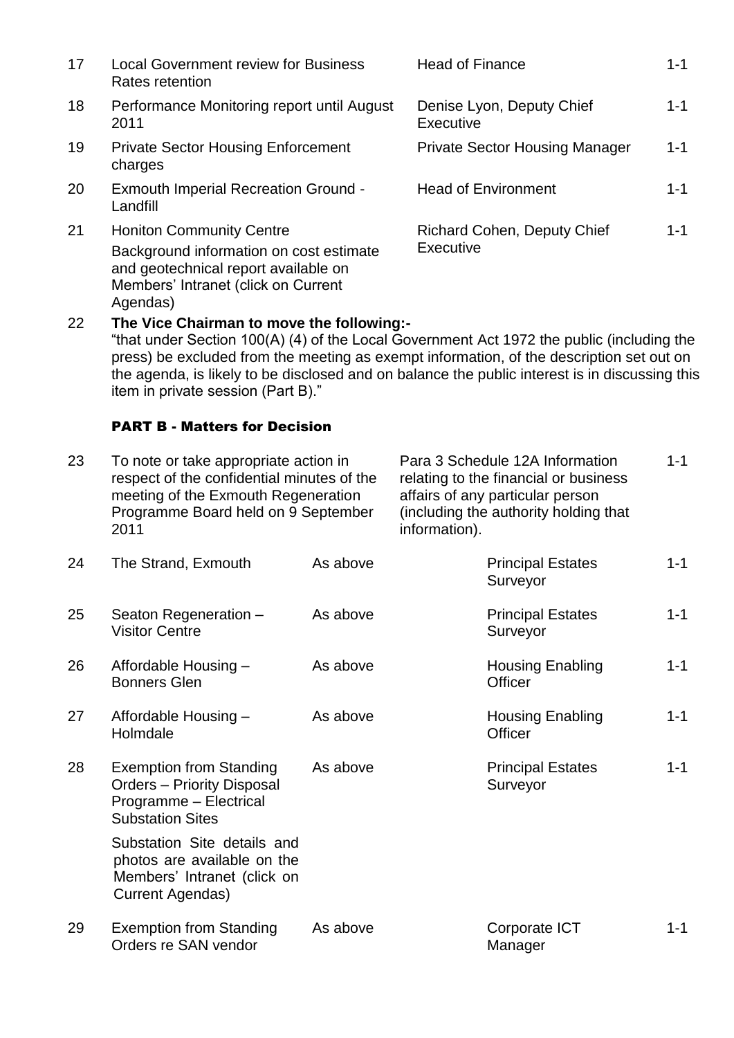| 17 | <b>Local Government review for Business</b><br>Rates retention                                                                                                        | <b>Head of Finance</b>                          | $1 - 1$ |
|----|-----------------------------------------------------------------------------------------------------------------------------------------------------------------------|-------------------------------------------------|---------|
| 18 | Performance Monitoring report until August<br>2011                                                                                                                    | Denise Lyon, Deputy Chief<br>Executive          | $1 - 1$ |
| 19 | <b>Private Sector Housing Enforcement</b><br>charges                                                                                                                  | <b>Private Sector Housing Manager</b>           | $1 - 1$ |
| 20 | <b>Exmouth Imperial Recreation Ground -</b><br>Landfill                                                                                                               | <b>Head of Environment</b>                      | $1 - 1$ |
| 21 | <b>Honiton Community Centre</b><br>Background information on cost estimate<br>and geotechnical report available on<br>Members' Intranet (click on Current<br>Agendas) | <b>Richard Cohen, Deputy Chief</b><br>Executive | $1 - 1$ |

22 **The Vice Chairman to move the following:-** "that under Section 100(A) (4) of the Local Government Act 1972 the public (including the press) be excluded from the meeting as exempt information, of the description set out on the agenda, is likely to be disclosed and on balance the public interest is in discussing this item in private session (Part B)."

#### PART B - Matters for Decision

| 23 | To note or take appropriate action in<br>respect of the confidential minutes of the<br>meeting of the Exmouth Regeneration<br>Programme Board held on 9 September<br>2011 |          | Para 3 Schedule 12A Information<br>relating to the financial or business<br>affairs of any particular person<br>(including the authority holding that<br>information). |                                      | $1 - 1$ |
|----|---------------------------------------------------------------------------------------------------------------------------------------------------------------------------|----------|------------------------------------------------------------------------------------------------------------------------------------------------------------------------|--------------------------------------|---------|
| 24 | The Strand, Exmouth                                                                                                                                                       | As above |                                                                                                                                                                        | <b>Principal Estates</b><br>Surveyor | $1 - 1$ |
| 25 | Seaton Regeneration -<br><b>Visitor Centre</b>                                                                                                                            | As above |                                                                                                                                                                        | <b>Principal Estates</b><br>Surveyor | $1 - 1$ |
| 26 | Affordable Housing -<br><b>Bonners Glen</b>                                                                                                                               | As above |                                                                                                                                                                        | <b>Housing Enabling</b><br>Officer   | $1 - 1$ |
| 27 | Affordable Housing -<br>Holmdale                                                                                                                                          | As above |                                                                                                                                                                        | <b>Housing Enabling</b><br>Officer   | $1 - 1$ |
| 28 | <b>Exemption from Standing</b><br><b>Orders - Priority Disposal</b><br>Programme - Electrical<br><b>Substation Sites</b>                                                  | As above |                                                                                                                                                                        | <b>Principal Estates</b><br>Surveyor | $1 - 1$ |
|    | Substation Site details and<br>photos are available on the<br>Members' Intranet (click on<br><b>Current Agendas)</b>                                                      |          |                                                                                                                                                                        |                                      |         |
| 29 | <b>Exemption from Standing</b><br>Orders re SAN vendor                                                                                                                    | As above |                                                                                                                                                                        | Corporate ICT<br>Manager             | $1 - 1$ |